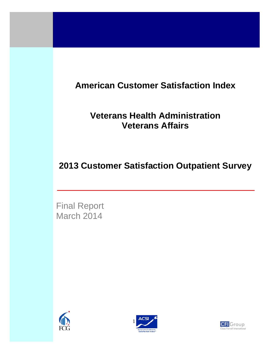# **American Customer Satisfaction Index**

## **Veterans Health Administration Veterans Affairs**

## **2013 Customer Satisfaction Outpatient Survey**

Final Report March 2014

2013 VHA Customer Satisfaction Report





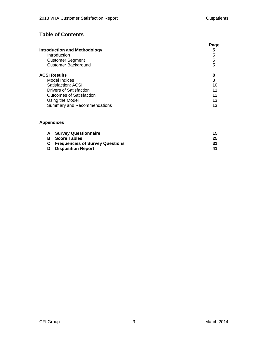### **Table of Contents**

| <b>Introduction and Methodology</b><br>Introduction<br><b>Customer Segment</b><br><b>Customer Background</b> | Page<br>5<br>5<br>5<br>5 |
|--------------------------------------------------------------------------------------------------------------|--------------------------|
| <b>ACSI Results</b>                                                                                          | 8                        |
| Model Indices                                                                                                | 8                        |
| Satisfaction: ACSI                                                                                           | 10                       |
| Drivers of Satisfaction                                                                                      | 11                       |
| Outcomes of Satisfaction                                                                                     | 12                       |
| Using the Model                                                                                              | 13                       |
| Summary and Recommendations                                                                                  | 13                       |

#### **Appendices**

| <b>A</b> Survey Questionnaire            |    |
|------------------------------------------|----|
| <b>B</b> Score Tables                    | 25 |
| <b>C</b> Frequencies of Survey Questions |    |
| <b>D</b> Disposition Report              |    |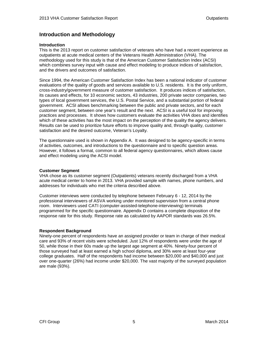#### **Introduction and Methodology**

#### **Introduction**

This is the 2013 report on customer satisfaction of veterans who have had a recent experience as outpatients at acute medical centers of the Veterans Health Administration (VHA). The methodology used for this study is that of the American Customer Satisfaction Index (ACSI) which combines survey input with cause and effect modeling to produce indices of satisfaction, and the drivers and outcomes of satisfaction.

Since 1994, the American Customer Satisfaction Index has been a national indicator of customer evaluations of the quality of goods and services available to U.S. residents. It is the only uniform, cross-industry/government measure of customer satisfaction. It produces indices of satisfaction, its causes and effects, for 10 economic sectors, 43 industries, 200 private sector companies, two types of local government services, the U.S. Postal Service, and a substantial portion of federal government. ACSI allows benchmarking between the public and private sectors, and for each customer segment, between one year's result and the next. ACSI is a useful tool for improving practices and processes. It shows how customers evaluate the activities VHA does and identifies which of these activities has the most impact on the perception of the quality the agency delivers. Results can be used to prioritize future efforts to improve quality and, through quality, customer satisfaction and the desired outcome, Veteran's Loyalty.

The questionnaire used is shown in Appendix A. It was designed to be agency-specific in terms of activities, outcomes, and introductions to the questionnaire and to specific question areas. However, it follows a format, common to all federal agency questionnaires, which allows cause and effect modeling using the ACSI model.

#### **Customer Segment**

VHA chose as its customer segment (Outpatients) veterans recently discharged from a VHA acute medical center to home in 2013. VHA provided sample with names, phone numbers, and addresses for individuals who met the criteria described above.

Customer interviews were conducted by telephone between February 6 - 12, 2014 by the professional interviewers of ASVA working under monitored supervision from a central phone room. Interviewers used CATI (computer-assisted-telephone-interviewing) terminals programmed for the specific questionnaire. Appendix D contains a complete disposition of the response rate for this study. Response rate as calculated by AAPOR standards was 26.5%.

#### **Respondent Background**

Ninety-one percent of respondents have an assigned provider or team in charge of their medical care and 93% of recent visits were scheduled. Just 12% of respondents were under the age of 50, while those in their 60s made up the largest age segment at 40%. Ninety-four percent of those surveyed had at least earned a high school diploma, and 30% were at least four-year college graduates. Half of the respondents had income between \$20,000 and \$40,000 and just over one-quarter (26%) had income under \$20,000. The vast majority of the surveyed population are male (93%).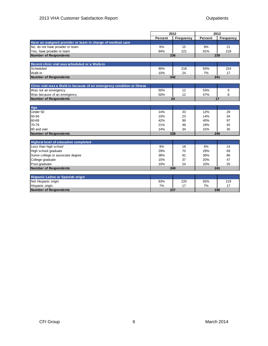|                                                                         |         | 2012      |         | 2013      |  |  |
|-------------------------------------------------------------------------|---------|-----------|---------|-----------|--|--|
|                                                                         | Percent | Frequency | Percent | Frequency |  |  |
| Have an assigned provider or team in charge of medical care             |         |           |         |           |  |  |
| No, do not have provider or team                                        | 6%      | 15        | 9%      | 21        |  |  |
| Yes, have provider or team                                              | 94%     | 221       | 91%     | 218       |  |  |
| <b>Number of Respondents</b>                                            |         | 236       |         | 239       |  |  |
|                                                                         |         |           |         |           |  |  |
| Recent clinic visit was scheduled or a Walk-in                          |         |           |         |           |  |  |
| Scheduled                                                               | 90%     | 218       | 93%     | 224       |  |  |
| Walk-in                                                                 | 10%     | 24        | 7%      | 17        |  |  |
| Number of Respondents                                                   |         | 242       |         | 241       |  |  |
|                                                                         |         |           |         |           |  |  |
| Clinic visit was a Walk-in because of an emergency condition or illness |         |           |         |           |  |  |
| Was not an emergency                                                    | 50%     | 12        | 53%     | 9         |  |  |
| Was because of an emergency                                             | 50%     | 12        | 47%     | 8         |  |  |
| <b>Number of Respondents</b>                                            |         | 24        |         | 17        |  |  |
|                                                                         |         |           |         |           |  |  |
| Age                                                                     |         |           |         |           |  |  |
| Under 50                                                                | 14%     | 33        | 12%     | 29        |  |  |
| 50-59                                                                   | 10%     | 23        | 14%     | 34        |  |  |
| 60-69                                                                   | 42%     | 99        | 40%     | 97        |  |  |
| 70-79                                                                   | 21%     | 49        | 19%     | 45        |  |  |
| 80 and over                                                             | 14%     | 34        | 15%     | 35        |  |  |
| <b>Number of Respondents</b>                                            |         | 238       |         | 240       |  |  |
| <b>Highest level of education completed</b>                             |         |           |         |           |  |  |
| Less than high school                                                   | 8%      | 18        | 6%      | 14        |  |  |
| High school graduate                                                    | 29%     | 70        | 29%     | 69        |  |  |
| Some college or associate degree                                        | 38%     | 91        | 36%     | 86        |  |  |
| College graduate                                                        | 15%     | 37        | 20%     | 47        |  |  |
| Post-graduate                                                           | 10%     | 24        | 10%     | 25        |  |  |
| <b>Number of Respondents</b>                                            |         | 240       |         | 241       |  |  |
|                                                                         |         |           |         |           |  |  |
| Hispanic Latino or Spanish origin                                       |         |           |         |           |  |  |
| Not Hispanic origin                                                     | 93%     | 220       | 93%     | 219       |  |  |
| Hispanic origin                                                         | 7%      | 17        | 7%      | 17        |  |  |
| Number of Respondents                                                   |         | 237       | 236     |           |  |  |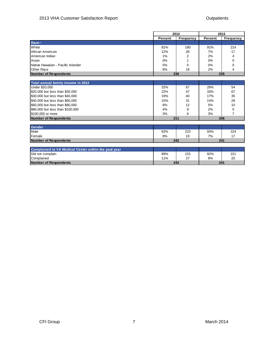|                                                      |            | 2012             | 2013    |                |  |  |
|------------------------------------------------------|------------|------------------|---------|----------------|--|--|
|                                                      | Percent    | <b>Frequency</b> | Percent | Frequency      |  |  |
| Race~                                                |            |                  |         |                |  |  |
| White                                                | 81%        | 190              | 91%     | 214            |  |  |
| African American                                     | 12%        | 28               | 7%      | 17             |  |  |
| American Indian                                      | 1%         | 2                | 2%      | 4              |  |  |
| Asian                                                | 0%         |                  | 0%      | 0              |  |  |
| Native Hawaiian - Pacific Islander                   | 0%         | $\Omega$         | 0%      | 0              |  |  |
| Other Race                                           | 8%         | 18               | 2%      | 4              |  |  |
| Number of Respondents                                |            | 236              |         | 235            |  |  |
|                                                      |            |                  |         |                |  |  |
| Total annual family income in 2013                   |            |                  |         |                |  |  |
| Under \$20,000                                       | 32%        | 67               | 26%     | 54             |  |  |
| \$20,000 but less than \$30,000                      | 22%        | 47               | 33%     | 67             |  |  |
| \$30,000 but less than \$40,000                      | 19%        | 40               | 17%     | 35             |  |  |
| \$40,000 but less than \$60,000                      | 15%        | 31               | 14%     | 28             |  |  |
| \$60,000 but less than \$80,000                      | 6%         | 12               | 5%      | 10             |  |  |
| \$80,000 but less than \$100,000                     | 4%         | 8                | 2%      | 5              |  |  |
| \$100,000 or more                                    | 3%         | 6                | 3%      | $\overline{7}$ |  |  |
| Number of Respondents                                |            | 211              |         | 206            |  |  |
|                                                      |            |                  |         |                |  |  |
| <b>Gender</b>                                        |            |                  |         |                |  |  |
| Male                                                 | 92%        | 223              | 93%     | 224            |  |  |
| Female                                               | 8%         | 19               | 7%      | 17             |  |  |
| Number of Respondents                                | 242<br>241 |                  |         |                |  |  |
|                                                      |            |                  |         |                |  |  |
| Complained to VA Medical Center within the past year |            |                  |         |                |  |  |
| Did not complain                                     | 89%        | 215              | 92%     | 221            |  |  |
| Complained                                           | 11%        | 27               | 8%      | 20             |  |  |
| Number of Respondents                                |            | 242              |         | 241            |  |  |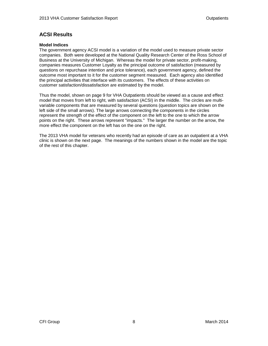#### **ACSI Results**

#### **Model Indices**

The government agency ACSI model is a variation of the model used to measure private sector companies. Both were developed at the National Quality Research Center of the Ross School of Business at the University of Michigan. Whereas the model for private sector, profit-making, companies measures Customer Loyalty as the principal outcome of satisfaction (measured by questions on repurchase intention and price tolerance), each government agency, defined the outcome most important to it for the customer segment measured. Each agency also identified the principal activities that interface with its customers. The effects of these activities on customer satisfaction/dissatisfaction are estimated by the model.

Thus the model, shown on page 9 for VHA Outpatients should be viewed as a cause and effect model that moves from left to right, with satisfaction (ACSI) in the middle. The circles are multivariable components that are measured by several questions (question topics are shown on the left side of the small arrows). The large arrows connecting the components in the circles represent the strength of the effect of the component on the left to the one to which the arrow points on the right. These arrows represent "impacts." The larger the number on the arrow, the more effect the component on the left has on the one on the right.

The 2013 VHA model for veterans who recently had an episode of care as an outpatient at a VHA clinic is shown on the next page. The meanings of the numbers shown in the model are the topic of the rest of this chapter.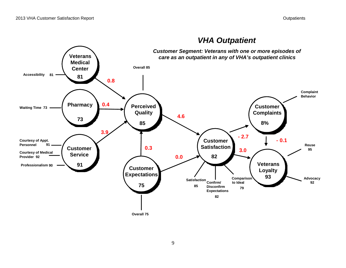

### *VHA Outpatient*

**Overall 75**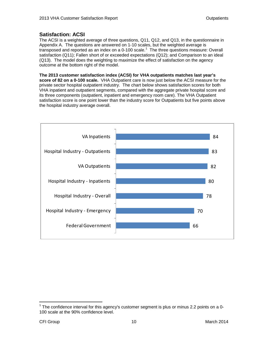#### **Satisfaction: ACSI**

The ACSI is a weighted average of three questions, Q11, Q12, and Q13, in the questionnaire in Appendix A. The questions are answered on 1-10 scales, but the weighted average is transposed and reported as an index on a 0-[1](#page-9-0)00 scale.<sup>1</sup> The three questions measure: Overall satisfaction (Q11); Fallen short of or exceeded expectations (Q12); and Comparison to an ideal (Q13). The model does the weighting to maximize the effect of satisfaction on the agency outcome at the bottom right of the model.

**The 2013 customer satisfaction index (ACSI) for VHA outpatients matches last year's score of 82 on a 0-100 scale.** VHA Outpatient care is now just below the ACSI measure for the private sector hospital outpatient industry. The chart below shows satisfaction scores for both VHA inpatient and outpatient segments, compared with the aggregate private hospital score and its three components (outpatient, inpatient and emergency room care). The VHA Outpatient satisfaction score is one point lower than the industry score for Outpatients but five points above the hospital industry average overall.



<span id="page-9-0"></span> $1$  The confidence interval for this agency's customer segment is plus or minus 2.2 points on a 0-100 scale at the 90% confidence level.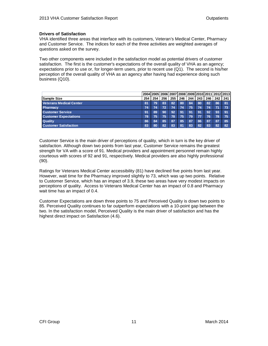#### **Drivers of Satisfaction**

VHA identified three areas that interface with its customers, Veteran's Medical Center, Pharmacy and Customer Service. The indices for each of the three activities are weighted averages of questions asked on the survey.

Two other components were included in the satisfaction model as potential drivers of customer satisfaction. The first is the customer's expectations of the overall quality of VHA as an agency; expectations prior to use or, for longer-term users, prior to recent use (Q1). The second is his/her perception of the overall quality of VHA as an agency after having had experience doing such business (Q10).

|                                |     |     |     |     |     |     |     |     |     | 2004 2005 2006 2007 2008 2009 2010 2011 2012 2013 |
|--------------------------------|-----|-----|-----|-----|-----|-----|-----|-----|-----|---------------------------------------------------|
| Sample Size                    | 254 | 254 | 256 | 255 | 246 | 244 | 243 | 246 | 242 | 241                                               |
| <b>Veterans Medical Center</b> | 81  | 79  | 83  | 82  | 80  | 84  | 80  | 82  | 86  | 81                                                |
| <b>Pharmacy</b>                | 74  | 74  | 72  | 74  | 74  | 75  | 74  | 74  | 74  | 73                                                |
| <b>Customer Service</b>        | 91  | 89  | 90  | 92  | 91  | 91  | 91  | 92  | 93  | 91                                                |
| <b>Customer Expectations</b>   | 78  | 75  | 75  | 78  | 75  | 79  | 77  | 76  | 78  | 75                                                |
| <b>Quality</b>                 | 86  | 84  | 85  | 87  | 85  | 87  | 86  | 87  | 87  | 85                                                |
| <b>Customer Satisfaction</b>   | 83  | 80  | 82  | 83  | 81  | 83  | 82  | 83  | 82  | 82                                                |

Customer Service is the main driver of perceptions of quality, which in turn is the key driver of satisfaction. Although down two points from last year, Customer Service remains the greatest strength for VA with a score of 91. Medical providers and appointment personnel remain highly courteous with scores of 92 and 91, respectively. Medical providers are also highly professional (90).

Ratings for Veterans Medical Center accessibility (81) have declined five points from last year. However, wait time for the Pharmacy improved slightly to 73, which was up two points. Relative to Customer Service, which has an impact of 3.9, these two areas have very modest impacts on perceptions of quality. Access to Veterans Medical Center has an impact of 0.8 and Pharmacy wait time has an impact of 0.4.

Customer Expectations are down three points to 75 and Perceived Quality is down two points to 85. Perceived Quality continues to far outperform expectations with a 10-point gap between the two. In the satisfaction model, Perceived Quality is the main driver of satisfaction and has the highest direct impact on Satisfaction (4.6).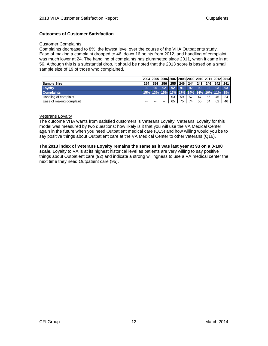#### **Outcomes of Customer Satisfaction**

#### Customer Complaints

Complaints decreased to 8%, the lowest level over the course of the VHA Outpatients study. Ease of making a complaint dropped to 46, down 16 points from 2012, and handling of complaint was much lower at 24. The handling of complaints has plummeted since 2011, when it came in at 56. Although this is a substantial drop, it should be noted that the 2013 score is based on a small sample size of 19 of those who complained.

|                          |     |     |     |     |             |     |     |    |                                        | 2004 2005 2006 2007 2008 2009 2010 2011 2012 2013 |
|--------------------------|-----|-----|-----|-----|-------------|-----|-----|----|----------------------------------------|---------------------------------------------------|
| <b>Sample Size</b>       | 254 | 254 | 256 | 255 | <b>1246</b> | 244 | 243 |    | 246 242 241                            |                                                   |
| Loyalty                  | 92  | 90  | 92  | 92  | 91          | 92  | 90  | 92 | -93                                    | 93                                                |
| <b>Complaints</b>        |     |     |     |     |             |     |     |    | 15% 13% 15% 17% 17% 14% 14% 10% 11% 8% |                                                   |
| Handling of complaint    | --  | --  | --  | 53  | 59          | 57  | 47  | 56 | 46                                     | 24                                                |
| Ease of making complaint | --  | --  | --  | 65  | 75          | 74  | 55  | 64 | 62                                     | 46                                                |

#### Veterans Loyalty

The outcome VHA wants from satisfied customers is Veterans Loyalty. Veterans' Loyalty for this model was measured by two questions: how likely is it that you will use the VA Medical Center again in the future when you need Outpatient medical care (Q15) and how willing would you be to say positive things about Outpatient care at the VA Medical Center to other veterans (Q16).

#### **The 2013 index of Veterans Loyalty remains the same as it was last year at 93 on a 0-100 scale.** Loyalty to VA is at its highest historical level as patients are very willing to say positive things about Outpatient care (92) and indicate a strong willingness to use a VA medical center the next time they need Outpatient care (95).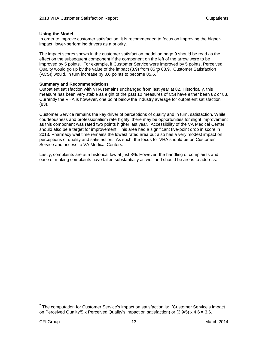#### **Using the Model**

In order to improve customer satisfaction, it is recommended to focus on improving the higherimpact, lower-performing drivers as a priority.

The impact scores shown in the customer satisfaction model on page 9 should be read as the effect on the subsequent component if the component on the left of the arrow were to be improved by 5 points. For example, if Customer Service were improved by 5 points, Perceived Quality would go up by the value of the impact (3.9) from 85 to 88.9. Customer Satisfaction (ACSI) would, in turn increase by 3.6 points to become 85.6. [2](#page-12-0)

#### **Summary and Recommendations**

Outpatient satisfaction with VHA remains unchanged from last year at 82. Historically, this measure has been very stable as eight of the past 10 measures of CSI have either been 82 or 83. Currently the VHA is however, one point below the industry average for outpatient satisfaction (83).

Customer Service remains the key driver of perceptions of quality and in turn, satisfaction. While courteousness and professionalism rate highly, there may be opportunities for slight improvement as this component was rated two points higher last year. Accessibility of the VA Medical Center should also be a target for improvement. This area had a significant five-point drop in score in 2013. Pharmacy wait time remains the lowest rated area but also has a very modest impact on perceptions of quality and satisfaction. As such, the focus for VHA should be on Customer Service and access to VA Medical Centers.

Lastly, complaints are at a historical low at just 8%. However, the handling of complaints and ease of making complaints have fallen substantially as well and should be areas to address.

<span id="page-12-0"></span> $2$  The computation for Customer Service's impact on satisfaction is: (Customer Service's impact on Perceived Quality/5 x Perceived Quality's impact on satisfaction) or  $(3.9/5)$  x  $4.6 = 3.6$ .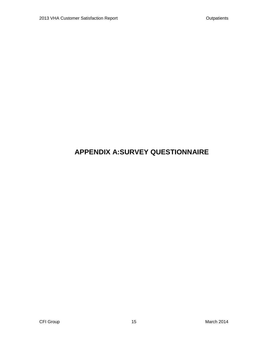## **APPENDIX A:SURVEY QUESTIONNAIRE**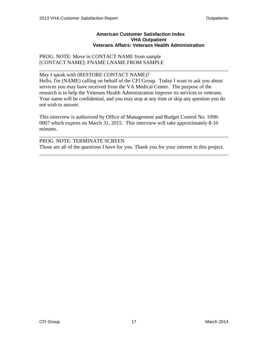#### **American Customer Satisfaction Index VHA Outpatient Veterans Affairs: Veterans Health Administration**

#### PROG. NOTE: Move in CONTACT NAME from sample [CONTACT NAME]: FNAME LNAME FROM SAMPLE

## May I speak with (RESTORE CONTACT NAME)?

Hello, I'm (NAME) calling on behalf of the CFI Group. Today I want to ask you about services you may have received from the VA Medical Center. The purpose of the research is to help the Veterans Health Administration improve its services to veterans. Your name will be confidential, and you may stop at any time or skip any question you do not wish to answer.

\_\_\_\_\_\_\_\_\_\_\_\_\_\_\_\_\_\_\_\_\_\_\_\_\_\_\_\_\_\_\_\_\_\_\_\_\_\_\_\_\_\_\_\_\_\_\_\_\_\_\_\_\_\_\_\_\_\_\_\_\_\_\_\_\_\_\_\_\_\_\_\_

This interview is authorized by Office of Management and Budget Control No. 1090- 0007 which expires on March 31, 2015. This interview will take approximately 8-10 minutes.

PROG. NOTE: TERMINATE SCREEN Those are all of the questions I have for you. Thank you for your interest in this project.

\_\_\_\_\_\_\_\_\_\_\_\_\_\_\_\_\_\_\_\_\_\_\_\_\_\_\_\_\_\_\_\_\_\_\_\_\_\_\_\_\_\_\_\_\_\_\_\_\_\_\_\_\_\_\_\_\_\_\_\_\_\_\_\_\_\_\_\_\_\_\_\_

\_\_\_\_\_\_\_\_\_\_\_\_\_\_\_\_\_\_\_\_\_\_\_\_\_\_\_\_\_\_\_\_\_\_\_\_\_\_\_\_\_\_\_\_\_\_\_\_\_\_\_\_\_\_\_\_\_\_\_\_\_\_\_\_\_\_\_\_\_\_\_\_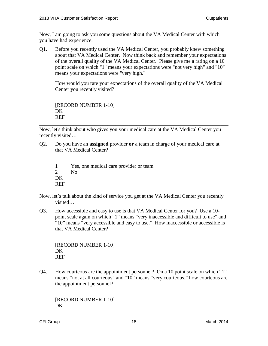Now, I am going to ask you some questions about the VA Medical Center with which you have had experience.

Q1. Before you recently used the VA Medical Center, you probably knew something about that VA Medical Center. Now think back and remember your expectations of the overall quality of the VA Medical Center. Please give me a rating on a 10 point scale on which "1" means your expectations were "not very high" and "10" means your expectations were "very high."

How would you rate your expectations of the overall quality of the VA Medical Center you recently visited?

[RECORD NUMBER 1-10] D<sub>K</sub> REF

\_\_\_\_\_\_\_\_\_\_\_\_\_\_\_\_\_\_\_\_\_\_\_\_\_\_\_\_\_\_\_\_\_\_\_\_\_\_\_\_\_\_\_\_\_\_\_\_\_\_\_\_\_\_\_\_\_\_\_\_\_\_\_\_\_\_\_\_\_\_\_\_ Now, let's think about who gives you your medical care at the VA Medical Center you recently visited…

Q2. Do you have an **assigned** provider **or** a team in charge of your medical care at that VA Medical Center?

1 Yes, one medical care provider or team 2  $N<sub>0</sub>$ D<sub>K</sub> REF

Now, let's talk about the kind of service you get at the VA Medical Center you recently visited…

\_\_\_\_\_\_\_\_\_\_\_\_\_\_\_\_\_\_\_\_\_\_\_\_\_\_\_\_\_\_\_\_\_\_\_\_\_\_\_\_\_\_\_\_\_\_\_\_\_\_\_\_\_\_\_\_\_\_\_\_\_\_\_\_\_\_\_\_\_\_\_\_

Q3. How accessible and easy to use is that VA Medical Center for you? Use a 10 point scale again on which "1" means "very inaccessible and difficult to use" and "10" means "very accessible and easy to use." How inaccessible or accessible is that VA Medical Center?

[RECORD NUMBER 1-10] DK REF

Q4. How courteous are the appointment personnel? On a 10 point scale on which "1" means "not at all courteous" and "10" means "very courteous," how courteous are the appointment personnel?

\_\_\_\_\_\_\_\_\_\_\_\_\_\_\_\_\_\_\_\_\_\_\_\_\_\_\_\_\_\_\_\_\_\_\_\_\_\_\_\_\_\_\_\_\_\_\_\_\_\_\_\_\_\_\_\_\_\_\_\_\_\_\_\_\_\_\_\_\_\_\_\_

[RECORD NUMBER 1-10] DK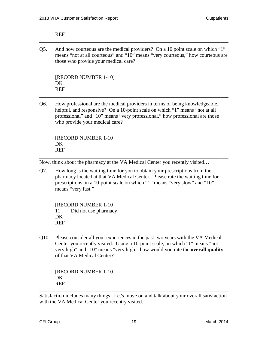#### REF

Q5. And how courteous are the medical providers? On a 10 point scale on which "1" means "not at all courteous" and "10" means "very courteous," how courteous are those who provide your medical care?

\_\_\_\_\_\_\_\_\_\_\_\_\_\_\_\_\_\_\_\_\_\_\_\_\_\_\_\_\_\_\_\_\_\_\_\_\_\_\_\_\_\_\_\_\_\_\_\_\_\_\_\_\_\_\_\_\_\_\_\_\_\_\_\_\_\_\_\_\_\_\_\_

[RECORD NUMBER 1-10] DK REF

Q6. How professional are the medical providers in terms of being knowledgeable, helpful, and responsive? On a 10-point scale on which "1" means "not at all professional" and "10" means "very professional," how professional are those who provide your medical care?

\_\_\_\_\_\_\_\_\_\_\_\_\_\_\_\_\_\_\_\_\_\_\_\_\_\_\_\_\_\_\_\_\_\_\_\_\_\_\_\_\_\_\_\_\_\_\_\_\_\_\_\_\_\_\_\_\_\_\_\_\_\_\_\_\_\_\_\_\_\_\_\_

[RECORD NUMBER 1-10] DK REF

Now, think about the pharmacy at the VA Medical Center you recently visited…

Q7. How long is the waiting time for you to obtain your prescriptions from the pharmacy located at that VA Medical Center. Please rate the waiting time for prescriptions on a 10-point scale on which "1" means "very slow" and "10" means "very fast."

\_\_\_\_\_\_\_\_\_\_\_\_\_\_\_\_\_\_\_\_\_\_\_\_\_\_\_\_\_\_\_\_\_\_\_\_\_\_\_\_\_\_\_\_\_\_\_\_\_\_\_\_\_\_\_\_\_\_\_\_\_\_\_\_\_\_\_\_\_\_\_\_

[RECORD NUMBER 1-10] 11 Did not use pharmacy DK REF

Q10. Please consider all your experiences in the past two years with the VA Medical Center you recently visited. Using a 10-point scale, on which "1" means "not very high" and "10" means "very high," how would you rate the **overall quality** of that VA Medical Center?

\_\_\_\_\_\_\_\_\_\_\_\_\_\_\_\_\_\_\_\_\_\_\_\_\_\_\_\_\_\_\_\_\_\_\_\_\_\_\_\_\_\_\_\_\_\_\_\_\_\_\_\_\_\_\_\_\_\_\_\_\_\_\_\_\_\_\_\_\_\_\_\_

[RECORD NUMBER 1-10] DK REF

Satisfaction includes many things. Let's move on and talk about your overall satisfaction with the VA Medical Center you recently visited.

\_\_\_\_\_\_\_\_\_\_\_\_\_\_\_\_\_\_\_\_\_\_\_\_\_\_\_\_\_\_\_\_\_\_\_\_\_\_\_\_\_\_\_\_\_\_\_\_\_\_\_\_\_\_\_\_\_\_\_\_\_\_\_\_\_\_\_\_\_\_\_\_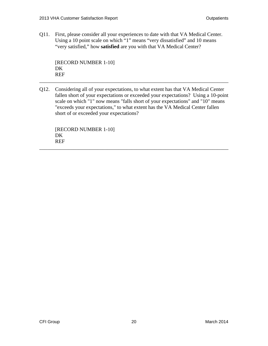Q11. First, please consider all your experiences to date with that VA Medical Center. Using a 10 point scale on which "1" means "very dissatisfied" and 10 means "very satisfied," how **satisfied** are you with that VA Medical Center?

[RECORD NUMBER 1-10] D<sub>K</sub> REF

Q12. Considering all of your expectations, to what extent has that VA Medical Center fallen short of your expectations or exceeded your expectations? Using a 10-point scale on which "1" now means "falls short of your expectations" and "10" means "exceeds your expectations," to what extent has the VA Medical Center fallen short of or exceeded your expectations?

\_\_\_\_\_\_\_\_\_\_\_\_\_\_\_\_\_\_\_\_\_\_\_\_\_\_\_\_\_\_\_\_\_\_\_\_\_\_\_\_\_\_\_\_\_\_\_\_\_\_\_\_\_\_\_\_\_\_\_\_\_\_\_\_\_\_\_\_\_\_\_\_

\_\_\_\_\_\_\_\_\_\_\_\_\_\_\_\_\_\_\_\_\_\_\_\_\_\_\_\_\_\_\_\_\_\_\_\_\_\_\_\_\_\_\_\_\_\_\_\_\_\_\_\_\_\_\_\_\_\_\_\_\_\_\_\_\_\_\_\_\_\_\_\_

[RECORD NUMBER 1-10] DK REF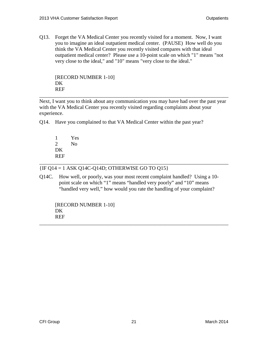Q13. Forget the VA Medical Center you recently visited for a moment. Now, I want you to imagine an ideal outpatient medical center. (PAUSE) How well do you think the VA Medical Center you recently visited compares with that ideal outpatient medical center? Please use a 10-point scale on which "1" means "not very close to the ideal," and "10" means "very close to the ideal."

[RECORD NUMBER 1-10] DK REF

Next, I want you to think about any communication you may have had over the past year with the VA Medical Center you recently visited regarding complaints about your experience.

\_\_\_\_\_\_\_\_\_\_\_\_\_\_\_\_\_\_\_\_\_\_\_\_\_\_\_\_\_\_\_\_\_\_\_\_\_\_\_\_\_\_\_\_\_\_\_\_\_\_\_\_\_\_\_\_\_\_\_\_\_\_\_\_\_\_\_\_\_\_\_\_

Q14. Have you complained to that VA Medical Center within the past year?

| 1          | Yes |
|------------|-----|
| 2          | No  |
| DК         |     |
| <b>REF</b> |     |

{IF Q14 = 1 ASK Q14C-Q14D; OTHERWISE GO TO Q15}

Q14C. How well, or poorly, was your most recent complaint handled? Using a 10 point scale on which "1" means "handled very poorly" and "10" means "handled very well," how would you rate the handling of your complaint?

\_\_\_\_\_\_\_\_\_\_\_\_\_\_\_\_\_\_\_\_\_\_\_\_\_\_\_\_\_\_\_\_\_\_\_\_\_\_\_\_\_\_\_\_\_\_\_\_\_\_\_\_\_\_\_\_\_\_\_\_\_\_\_\_\_\_\_\_\_\_\_\_

\_\_\_\_\_\_\_\_\_\_\_\_\_\_\_\_\_\_\_\_\_\_\_\_\_\_\_\_\_\_\_\_\_\_\_\_\_\_\_\_\_\_\_\_\_\_\_\_\_\_\_\_\_\_\_\_\_\_\_\_\_\_\_\_\_\_\_\_\_\_\_\_

[RECORD NUMBER 1-10] DK REF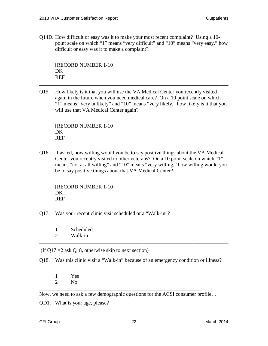Q14D. How difficult or easy was it to make your most recent complaint? Using a 10 point scale on which "1" means "very difficult" and "10" means "very easy," how difficult or easy was it to make a complaint?

[RECORD NUMBER 1-10] DK REF

Q15. How likely is it that you will use the VA Medical Center you recently visited again in the future when you need medical care? On a 10 point scale on which "1" means "very unlikely" and "10" means "very likely," how likely is it that you will use that VA Medical Center again?

\_\_\_\_\_\_\_\_\_\_\_\_\_\_\_\_\_\_\_\_\_\_\_\_\_\_\_\_\_\_\_\_\_\_\_\_\_\_\_\_\_\_\_\_\_\_\_\_\_\_\_\_\_\_\_\_\_\_\_\_\_\_\_\_\_\_\_\_\_\_\_\_

[RECORD NUMBER 1-10] DK REF

Q16. If asked, how willing would you be to say positive things about the VA Medical Center you recently visited to other veterans? On a 10 point scale on which "1" means "not at all willing" and "10" means "very willing," how willing would you be to say positive things about that VA Medical Center?

\_\_\_\_\_\_\_\_\_\_\_\_\_\_\_\_\_\_\_\_\_\_\_\_\_\_\_\_\_\_\_\_\_\_\_\_\_\_\_\_\_\_\_\_\_\_\_\_\_\_\_\_\_\_\_\_\_\_\_\_\_\_\_\_\_\_\_\_\_\_\_\_

\_\_\_\_\_\_\_\_\_\_\_\_\_\_\_\_\_\_\_\_\_\_\_\_\_\_\_\_\_\_\_\_\_\_\_\_\_\_\_\_\_\_\_\_\_\_\_\_\_\_\_\_\_\_\_\_\_\_\_\_\_\_\_\_\_\_\_\_\_\_\_\_

```
[RECORD NUMBER 1-10]
DK
REF
```
Q17. Was your recent clinic visit scheduled or a "Walk-in"?

- 1 Scheduled
- 2 Walk-in \_\_\_\_\_\_\_\_\_\_\_\_\_\_\_\_\_\_\_\_\_\_\_\_\_\_\_\_\_\_\_\_\_\_\_\_\_\_\_\_\_\_\_\_\_\_\_\_\_\_\_\_\_\_\_\_\_\_\_\_\_\_\_\_\_\_\_\_\_\_\_\_

(If  $Q17 = 2$  ask Q18, otherwise skip to next section)

Q18. Was this clinic visit a "Walk-in" because of an emergency condition or illness?

1 Yes 2  $N<sub>0</sub>$ 

Now, we need to ask a few demographic questions for the ACSI consumer profile…

\_\_\_\_\_\_\_\_\_\_\_\_\_\_\_\_\_\_\_\_\_\_\_\_\_\_\_\_\_\_\_\_\_\_\_\_\_\_\_\_\_\_\_\_\_\_\_\_\_\_\_\_\_\_\_\_\_\_\_\_\_\_

QD1. What is your age, please?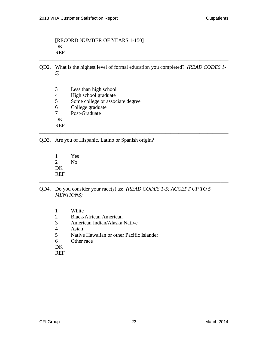#### [RECORD NUMBER OF YEARS 1-150] DK REF

QD2. What is the highest level of formal education you completed? *(READ CODES 1- 5)*

\_\_\_\_\_\_\_\_\_\_\_\_\_\_\_\_\_\_\_\_\_\_\_\_\_\_\_\_\_\_\_\_\_\_\_\_\_\_\_\_\_\_\_\_\_\_\_\_\_\_\_\_\_\_\_\_\_\_\_\_\_\_\_\_\_\_\_\_\_\_\_\_

\_\_\_\_\_\_\_\_\_\_\_\_\_\_\_\_\_\_\_\_\_\_\_\_\_\_\_\_\_\_\_\_\_\_\_\_\_\_\_\_\_\_\_\_\_\_\_\_\_\_\_\_\_\_\_\_\_\_\_\_\_\_\_\_\_\_\_\_\_\_\_\_

3 Less than high school 4 High school graduate<br>5 Some college or assoc 5 Some college or associate degree 6 College graduate<br>7 Post-Graduate Post-Graduate DK REF

QD3. Are you of Hispanic, Latino or Spanish origin?

- 1 Yes 2 No DK REF \_\_\_\_\_\_\_\_\_\_\_\_\_\_\_\_\_\_\_\_\_\_\_\_\_\_\_\_\_\_\_\_\_\_\_\_\_\_\_\_\_\_\_\_\_\_\_\_\_\_\_\_\_\_\_\_\_\_\_\_\_\_\_\_\_\_\_\_\_\_\_\_
- QD4. Do you consider your race(s) as: *(READ CODES 1-5; ACCEPT UP TO 5 MENTIONS)*

|                | White                                     |
|----------------|-------------------------------------------|
| $\overline{2}$ | <b>Black/African American</b>             |
| 3              | American Indian/Alaska Native             |
| 4              | Asian                                     |
| 5              | Native Hawaiian or other Pacific Islander |
| 6              | Other race                                |
| DK             |                                           |
| <b>REF</b>     |                                           |
|                |                                           |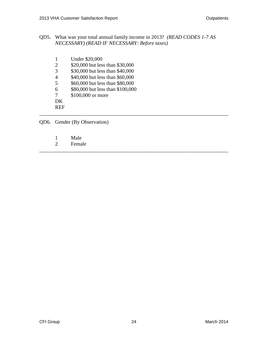QD5. What was your total annual family income in 2013? *(READ CODES 1-7 AS NECESSARY) (READ IF NECESSARY: Before taxes)*

\_\_\_\_\_\_\_\_\_\_\_\_\_\_\_\_\_\_\_\_\_\_\_\_\_\_\_\_\_\_\_\_\_\_\_\_\_\_\_\_\_\_\_\_\_\_\_\_\_\_\_\_\_\_\_\_\_\_\_\_\_\_\_\_\_\_\_\_\_\_\_\_

\_\_\_\_\_\_\_\_\_\_\_\_\_\_\_\_\_\_\_\_\_\_\_\_\_\_\_\_\_\_\_\_\_\_\_\_\_\_\_\_\_\_\_\_\_\_\_\_\_\_\_\_\_\_\_\_\_\_\_\_\_\_\_\_\_\_\_\_\_\_\_\_

| 1              | <b>Under \$20,000</b>            |
|----------------|----------------------------------|
| 2              | \$20,000 but less than \$30,000  |
| 3              | \$30,000 but less than \$40,000  |
| $\overline{4}$ | \$40,000 but less than \$60,000  |
| 5              | \$60,000 but less than \$80,000  |
| 6              | \$80,000 but less than \$100,000 |
| 7              | \$100,000 or more                |
| DK             |                                  |
|                |                                  |

QD6. Gender (By Observation)

- 1 Male<br>2 Femal
- Female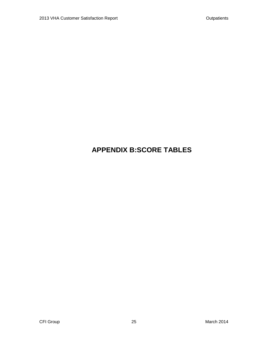## **APPENDIX B:SCORE TABLES**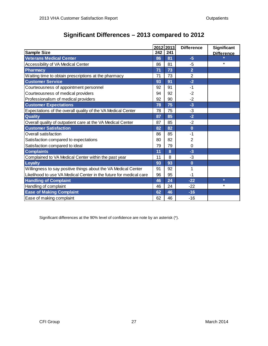### **Significant Differences – 2013 compared to 2012**

|                                                                    |     | 2012 2013 | <b>Difference</b> | Significant       |
|--------------------------------------------------------------------|-----|-----------|-------------------|-------------------|
| <b>Sample Size</b>                                                 | 242 | 241       |                   | <b>Difference</b> |
| <b>Veterans Medical Center</b>                                     | 86  | 81        | $-5$              |                   |
| Accessibility of VA Medical Center                                 | 86  | 81        | -5                | $\ast$            |
| <b>Pharmacy</b>                                                    | 71  | 73        | $\overline{2}$    |                   |
| Waiting time to obtain prescriptions at the pharmacy               | 71  | 73        | $\overline{2}$    |                   |
| <b>Customer Service</b>                                            | 93  | 91        | $-2$              |                   |
| Courteousness of appointment personnel                             | 92  | 91        | $-1$              |                   |
| Courteousness of medical providers                                 | 94  | 92        | $-2$              |                   |
| Professionalism of medical providers                               | 92  | 90        | $-2$              |                   |
| <b>Customer Expectations</b>                                       | 78  | 75        | $-3$              |                   |
| Expectations of the overall quality of the VA Medical Center       | 78  | 75        | $-3$              |                   |
| Quality                                                            | 87  | 85        | $-2$              |                   |
| Overall quality of outpatient care at the VA Medical Center        | 87  | 85        | $-2$              |                   |
| <b>Customer Satisfaction</b>                                       | 82  | 82        | $\bf{0}$          |                   |
| Overall satisfaction                                               | 86  | 85        | -1                |                   |
| Satisfaction compared to expectations                              | 80  | 82        | 2                 |                   |
| Satisfaction compared to ideal                                     | 79  | 79        | 0                 |                   |
| <b>Complaints</b>                                                  | 11  | 8         | $-3$              |                   |
| Complained to VA Medical Center within the past year               | 11  | 8         | $-3$              |                   |
| <b>Loyalty</b>                                                     | 93  | 93        | $\bf{0}$          |                   |
| Willingness to say positive things about the VA Medical Center     | 91  | 92        | 1                 |                   |
| Likelihood to use VA Medical Center in the future for medical care | 96  | 95        | -1                |                   |
| <b>Handling of Complaint</b>                                       | 46  | 24        | $-22$             | $\ast$            |
| Handling of complaint                                              | 46  | 24        | $-22$             | $\ast$            |
| <b>Ease of Making Complaint</b>                                    | 62  | 46        | $-16$             |                   |
| Ease of making complaint                                           | 62  | 46        | $-16$             |                   |

Significant differences at the 90% level of confidence are note by an asterisk (\*).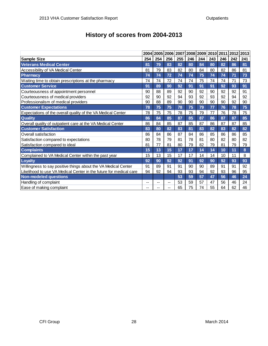| History of scores from 2004-2013 |  |  |
|----------------------------------|--|--|
|----------------------------------|--|--|

|                                                                    | 2004 |     | 2005 2006 2007 |     |     | 2008 2009 2010 2011 |     |     | 2012 | 2013 |
|--------------------------------------------------------------------|------|-----|----------------|-----|-----|---------------------|-----|-----|------|------|
| <b>Sample Size</b>                                                 | 254  | 254 | 256            | 255 | 246 | 244                 | 243 | 246 | 242  | 241  |
| <b>Veterans Medical Center</b>                                     | 81   | 79  | 83             | 82  | 80  | 84                  | 80  | 82  | 86   | 81   |
| Accessibility of VA Medical Center                                 | 81   | 79  | 83             | 82  | 80  | 84                  | 80  | 82  | 86   | 81   |
| <b>Pharmacy</b>                                                    | 74   | 74  | 72             | 74  | 74  | 75                  | 74  | 74  | 71   | 73   |
| Waiting time to obtain prescriptions at the pharmacy               | 74   | 74  | 72             | 74  | 74  | 75                  | 74  | 74  | 71   | 73   |
| <b>Customer Service</b>                                            | 91   | 89  | 90             | 92  | 91  | 91                  | 91  | 92  | 93   | 91   |
| Courteousness of appointment personnel                             | 90   | 88  | 89             | 92  | 90  | 92                  | 90  | 92  | 92   | 91   |
| Courteousness of medical providers                                 | 92   | 90  | 92             | 94  | 93  | 92                  | 93  | 92  | 94   | 92   |
| Professionalism of medical providers                               | 90   | 88  | 89             | 90  | 90  | 90                  | 90  | 90  | 92   | 90   |
| <b>Customer Expectations</b>                                       | 78   | 75  | 75             | 78  | 75  | 79                  | 77  | 76  | 78   | 75   |
| Expectations of the overall quality of the VA Medical Center       | 78   | 75  | 75             | 78  | 75  | 79                  | 77  | 76  | 78   | 75   |
| Quality                                                            | 86   | 84  | 85             | 87  | 85  | 87                  | 86  | 87  | 87   | 85   |
| Overall quality of outpatient care at the VA Medical Center        | 86   | 84  | 85             | 87  | 85  | 87                  | 86  | 87  | 87   | 85   |
| <b>Customer Satisfaction</b>                                       | 83   | 80  | 82             | 83  | 81  | 83                  | 82  | 83  | 82   | 82   |
| Overall satisfaction                                               | 86   | 84  | 86             | 87  | 84  | 86                  | 85  | 86  | 86   | 85   |
| Satisfaction compared to expectations                              | 80   | 78  | 79             | 81  | 78  | 81                  | 80  | 82  | 80   | 82   |
| Satisfaction compared to ideal                                     | 81   | 77  | 81             | 80  | 79  | 82                  | 79  | 81  | 79   | 79   |
| <b>Complaints</b>                                                  | 15   | 13  | 15             | 17  | 17  | 14                  | 14  | 10  | 11   | 8    |
| Complained to VA Medical Center within the past year               | 15   | 13  | 15             | 17  | 17  | 14                  | 14  | 10  | 11   | 8    |
| <b>Loyalty</b>                                                     | 92   | 90  | 92             | 92  | 91  | 92                  | 90  | 92  | 93   | 93   |
| Willingness to say positive things about the VA Medical Center     | 91   | 89  | 91             | 91  | 90  | 90                  | 89  | 91  | 91   | 92   |
| Likelihood to use VA Medical Center in the future for medical care | 94   | 92  | 94             | 93  | 93  | 94                  | 92  | 93  | 96   | 95   |
| <b>Non-modeled questions</b>                                       |      |     |                | 53  | 59  | 57                  | 47  | 56  | 46   | 24   |
| Handling of complaint                                              | --   |     | $-$            | 53  | 59  | 57                  | 47  | 56  | 46   | 24   |
| Ease of making complaint                                           |      |     | --             | 65  | 75  | 74                  | 55  | 64  | 62   | 46   |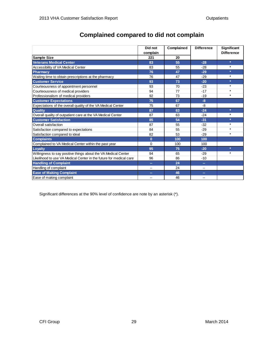|                                                                    | Did not  | Complained | <b>Difference</b>        | <b>Significant</b> |
|--------------------------------------------------------------------|----------|------------|--------------------------|--------------------|
|                                                                    | complain |            |                          | <b>Difference</b>  |
| Sample Size                                                        | 221      | 20         |                          |                    |
| <b>Veterans Medical Center</b>                                     | 83       | 55         | $-28$                    | $\ast$             |
| Accessibility of VA Medical Center                                 | 83       | 55         | $-28$                    | $\ast$             |
| <b>Pharmacy</b>                                                    | 76       | 47         | $-29$                    | *                  |
| Waiting time to obtain prescriptions at the pharmacy               | 76       | 47         | $-29$                    | $\ast$             |
| <b>Customer Service</b>                                            | 93       | 73         | $-20$                    | $\ast$             |
| Courteousness of appointment personnel                             | 93       | 70         | $-23$                    | $\ast$             |
| Courteousness of medical providers                                 | 94       | 77         | $-17$                    | *                  |
| Professionalism of medical providers                               | 92       | 73         | $-19$                    | $\ast$             |
| <b>Customer Expectations</b>                                       | 75       | 67         | $-8$                     |                    |
| Expectations of the overall quality of the VA Medical Center       | 75       | 67         | -8                       |                    |
| <b>Quality</b>                                                     | 87       | 63         | $-24$                    | $\ast$             |
| Overall quality of outpatient care at the VA Medical Center        | 87       | 63         | $-24$                    | $\ast$             |
| <b>Customer Satisfaction</b>                                       | 85       | 54         | $-31$                    | $\ast$             |
| Overall satisfaction                                               | 87       | 55         | $-32$                    | $\ast$             |
| Satisfaction compared to expectations                              | 84       | 55         | $-29$                    | $\ast$             |
| Satisfaction compared to ideal                                     | 82       | 53         | $-29$                    | $\ast$             |
| <b>Complaints</b>                                                  | $\bf{0}$ | 100        | 100                      |                    |
| Complained to VA Medical Center within the past year               | $\Omega$ | 100        | 100                      |                    |
| Loyalty                                                            | 95       | 75         | $-20$                    | $\ast$             |
| Willingness to say positive things about the VA Medical Center     | 94       | 65         | $-29$                    | *                  |
| Likelihood to use VA Medical Center in the future for medical care | 96       | 86         | $-10$                    |                    |
| <b>Handling of Complaint</b>                                       | н.       | 24         | œ.                       |                    |
| Handling of complaint                                              |          | 24         | $\overline{\phantom{a}}$ |                    |
| <b>Ease of Making Complaint</b>                                    | --       | 46         | $\sim$                   |                    |
| Ease of making complaint                                           | --       | 46         | $-$                      |                    |

### **Complained compared to did not complain**

Significant differences at the 90% level of confidence are note by an asterisk (\*).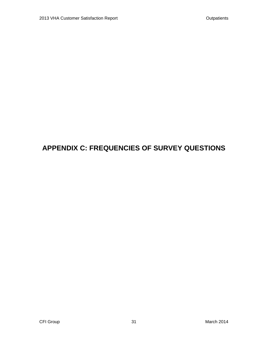## **APPENDIX C: FREQUENCIES OF SURVEY QUESTIONS**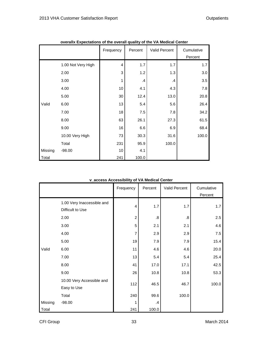|         | Overally Expectations of the Overall quality of the VA Medical Center | Frequency      | Percent       | Valid Percent | Cumulative<br>Percent |
|---------|-----------------------------------------------------------------------|----------------|---------------|---------------|-----------------------|
|         | 1.00 Not Very High                                                    | $\overline{4}$ | 1.7           | 1.7           | 1.7                   |
|         | 2.00                                                                  | 3              | 1.2           | 1.3           | 3.0                   |
|         | 3.00                                                                  | 1              | $\mathcal{A}$ | $\cdot$       | 3.5                   |
|         | 4.00                                                                  | 10             | 4.1           | 4.3           | 7.8                   |
|         | 5.00                                                                  | 30             | 12.4          | 13.0          | 20.8                  |
| Valid   | 6.00                                                                  | 13             | 5.4           | 5.6           | 26.4                  |
|         | 7.00                                                                  | 18             | 7.5           | 7.8           | 34.2                  |
|         | 8.00                                                                  | 63             | 26.1          | 27.3          | 61.5                  |
|         | 9.00                                                                  | 16             | 6.6           | 6.9           | 68.4                  |
|         | 10.00 Very High                                                       | 73             | 30.3          | 31.6          | 100.0                 |
|         | Total                                                                 | 231            | 95.9          | 100.0         |                       |
| Missing | $-98.00$                                                              | 10             | 4.1           |               |                       |
| Total   |                                                                       | 241            | 100.0         |               |                       |

**overallx Expectations of the overall quality of the VA Medical Center**

#### **v\_access Accessibility of VA Medical Center**

|         |                            | Frequency      | Percent           | Valid Percent | Cumulative |
|---------|----------------------------|----------------|-------------------|---------------|------------|
|         |                            |                |                   |               | Percent    |
|         | 1.00 Very Inaccessible and | $\overline{4}$ | 1.7               | 1.7           | 1.7        |
|         | Difficult to Use           |                |                   |               |            |
|         | 2.00                       | $\overline{2}$ | $\boldsymbol{.8}$ | .8            | 2.5        |
|         | 3.00                       | 5              | 2.1               | 2.1           | 4.6        |
|         | 4.00                       | 7              | 2.9               | 2.9           | 7.5        |
|         | 5.00                       | 19             | 7.9               | 7.9           | 15.4       |
| Valid   | 6.00                       | 11             | 4.6               | 4.6           | 20.0       |
|         | 7.00                       | 13             | 5.4               | 5.4           | 25.4       |
|         | 8.00                       | 41             | 17.0              | 17.1          | 42.5       |
|         | 9.00                       | 26             | 10.8              | 10.8          | 53.3       |
|         | 10.00 Very Accessible and  | 112            | 46.5              | 46.7          | 100.0      |
|         | Easy to Use                |                |                   |               |            |
|         | Total                      | 240            | 99.6              | 100.0         |            |
| Missing | $-98.00$                   | 1              | $\cdot$           |               |            |
| Total   |                            | 241            | 100.0             |               |            |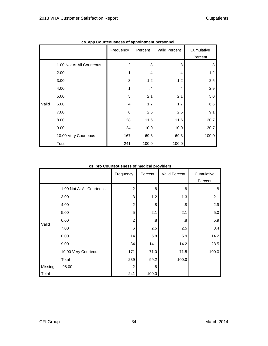|       | capp councousiness or appointment personner | Frequency      | Percent | Valid Percent | Cumulative<br>Percent |
|-------|---------------------------------------------|----------------|---------|---------------|-----------------------|
|       | 1.00 Not At All Courteous                   | $\overline{c}$ | .8      | .8            | 8.                    |
|       | 2.00                                        | 1              | .4      | .4            | 1.2                   |
|       | 3.00                                        | 3              | 1.2     | 1.2           | 2.5                   |
|       | 4.00                                        | 1              | .4      | .4            | 2.9                   |
|       | 5.00                                        | 5              | 2.1     | 2.1           | 5.0                   |
| Valid | 6.00                                        | 4              | 1.7     | 1.7           | 6.6                   |
|       | 7.00                                        | 6              | 2.5     | 2.5           | 9.1                   |
|       | 8.00                                        | 28             | 11.6    | 11.6          | 20.7                  |
|       | 9.00                                        | 24             | 10.0    | 10.0          | 30.7                  |
|       | 10.00 Very Courteous                        | 167            | 69.3    | 69.3          | 100.0                 |
|       | Total                                       | 241            | 100.0   | 100.0         |                       |

**cs\_app Courteousness of appointment personnel**

#### **cs\_pro Courteousness of medical providers**

|         |                           | Frequency      | Percent           | Valid Percent | Cumulative        |
|---------|---------------------------|----------------|-------------------|---------------|-------------------|
|         |                           |                |                   |               | Percent           |
|         | 1.00 Not At All Courteous | $\overline{c}$ | $\boldsymbol{.8}$ | .8            | $\boldsymbol{.8}$ |
|         | 3.00                      | $\mathbf{3}$   | 1.2               | 1.3           | 2.1               |
|         | 4.00                      | $\overline{c}$ | $\boldsymbol{.8}$ | .8            | 2.9               |
|         | 5.00                      | 5              | 2.1               | 2.1           | 5.0               |
|         | 6.00                      | $\overline{c}$ | .8                | .8            | 5.9               |
| Valid   | 7.00                      | 6              | 2.5               | 2.5           | 8.4               |
|         | 8.00                      | 14             | 5.8               | 5.9           | 14.2              |
|         | 9.00                      | 34             | 14.1              | 14.2          | 28.5              |
|         | 10.00 Very Courteous      | 171            | 71.0              | 71.5          | 100.0             |
|         | Total                     | 239            | 99.2              | 100.0         |                   |
| Missing | $-98.00$                  | $\overline{c}$ | .8                |               |                   |
| Total   |                           | 241            | 100.0             |               |                   |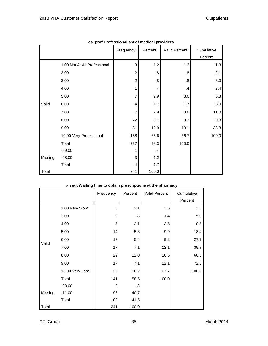|         |                              | Frequency      | Percent           | Valid Percent     | Cumulative |
|---------|------------------------------|----------------|-------------------|-------------------|------------|
|         |                              |                |                   |                   | Percent    |
|         | 1.00 Not At All Professional | 3              | 1.2               | 1.3               | 1.3        |
|         | 2.00                         | $\overline{2}$ | $\boldsymbol{.8}$ | .8                | 2.1        |
|         | 3.00                         | $\overline{2}$ | $\boldsymbol{.8}$ | $\boldsymbol{.8}$ | 3.0        |
|         | 4.00                         | 1              | $\mathbf{.4}$     | $\mathcal{A}$     | 3.4        |
|         | 5.00                         | 7              | 2.9               | 3.0               | 6.3        |
| Valid   | 6.00                         | 4              | 1.7               | 1.7               | 8.0        |
|         | 7.00                         | 7              | 2.9               | 3.0               | 11.0       |
|         | 8.00                         | 22             | 9.1               | 9.3               | 20.3       |
|         | 9.00                         | 31             | 12.9              | 13.1              | 33.3       |
|         | 10.00 Very Professional      | 158            | 65.6              | 66.7              | 100.0      |
|         | Total                        | 237            | 98.3              | 100.0             |            |
|         | $-99.00$                     |                | $\mathcal{A}$     |                   |            |
| Missing | $-98.00$                     | 3              | 1.2               |                   |            |
|         | Total                        | 4              | 1.7               |                   |            |
| Total   |                              | 241            | 100.0             |                   |            |

| cs_prof Professionalism of medical providers |  |
|----------------------------------------------|--|
|----------------------------------------------|--|

#### **p\_wait Waiting time to obtain prescriptions at the pharmacy**

|         |                 | Frequency      | Percent | Valid Percent | Cumulative |
|---------|-----------------|----------------|---------|---------------|------------|
|         |                 |                |         |               | Percent    |
|         | 1.00 Very Slow  | 5              | 2.1     | 3.5           | 3.5        |
|         | 2.00            | $\overline{2}$ | .8      | 1.4           | 5.0        |
|         | 4.00            | 5              | 2.1     | 3.5           | 8.5        |
|         | 5.00            | 14             | 5.8     | 9.9           | 18.4       |
|         | 6.00            | 13             | 5.4     | 9.2           | 27.7       |
| Valid   | 7.00            | 17             | 7.1     | 12.1          | 39.7       |
|         | 8.00            | 29             | 12.0    | 20.6          | 60.3       |
|         | 9.00            | 17             | 7.1     | 12.1          | 72.3       |
|         | 10.00 Very Fast | 39             | 16.2    | 27.7          | 100.0      |
|         | Total           | 141            | 58.5    | 100.0         |            |
|         | $-98.00$        | $\overline{2}$ | .8      |               |            |
| Missing | $-11.00$        | 98             | 40.7    |               |            |
|         | Total           | 100            | 41.5    |               |            |
| Total   |                 | 241            | 100.0   |               |            |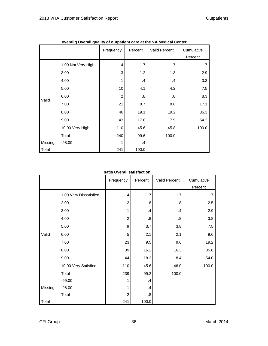|         | Overally Overall quality of ourpatient care at the VA Medical Center | Frequency      | Percent           | Valid Percent     | Cumulative<br>Percent |
|---------|----------------------------------------------------------------------|----------------|-------------------|-------------------|-----------------------|
|         | 1.00 Not Very High                                                   | $\overline{4}$ | 1.7               | 1.7               | 1.7                   |
|         | 3.00                                                                 | 3              | 1.2               | 1.3               | 2.9                   |
|         | 4.00                                                                 | 1              | .4                | $\cdot$           | 3.3                   |
|         | 5.00                                                                 | 10             | 4.1               | 4.2               | 7.5                   |
|         | 6.00                                                                 | $\overline{2}$ | $\boldsymbol{.8}$ | $\boldsymbol{.8}$ | 8.3                   |
| Valid   | 7.00                                                                 | 21             | 8.7               | 8.8               | 17.1                  |
|         | 8.00                                                                 | 46             | 19.1              | 19.2              | 36.3                  |
|         | 9.00                                                                 | 43             | 17.8              | 17.9              | 54.2                  |
|         | 10.00 Very High                                                      | 110            | 45.6              | 45.8              | 100.0                 |
|         | Total                                                                | 240            | 99.6              | 100.0             |                       |
| Missing | $-98.00$                                                             | 1              | .4                |                   |                       |
| Total   |                                                                      | 241            | 100.0             |                   |                       |

| overallq Overall quality of outpatient care at the VA Medical Center |  |  |
|----------------------------------------------------------------------|--|--|
|                                                                      |  |  |

#### **satis Overall satisfaction**

|         |                        | Frequency      | Percent          | Valid Percent     | Cumulative |
|---------|------------------------|----------------|------------------|-------------------|------------|
|         |                        |                |                  |                   | Percent    |
|         | 1.00 Very Dissatisfied | 4              | 1.7              | 1.7               | 1.7        |
|         | 2.00                   | $\overline{c}$ | $\boldsymbol{8}$ | $\boldsymbol{.8}$ | 2.5        |
|         | 3.00                   | 1              | $\cdot$          | .4                | 2.9        |
|         | 4.00                   | $\overline{c}$ | $\boldsymbol{8}$ | .8                | 3.8        |
|         | 5.00                   | 9              | 3.7              | 3.8               | 7.5        |
| Valid   | 6.00                   | 5              | 2.1              | 2.1               | 9.6        |
|         | 7.00                   | 23             | 9.5              | 9.6               | 19.2       |
|         | 8.00                   | 39             | 16.2             | 16.3              | 35.6       |
|         | 9.00                   | 44             | 18.3             | 18.4              | 54.0       |
|         | 10.00 Very Satisfied   | 110            | 45.6             | 46.0              | 100.0      |
|         | Total                  | 239            | 99.2             | 100.0             |            |
|         | $-99.00$               | 1              | .4               |                   |            |
| Missing | $-98.00$               | 1              | $\cdot$          |                   |            |
|         | Total                  | $\overline{2}$ | $\boldsymbol{8}$ |                   |            |
| Total   |                        | 241            | 100.0            |                   |            |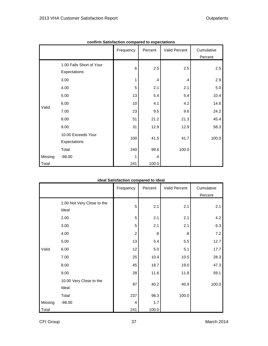|         |                          | Frequency | Percent       | Valid Percent | Cumulative |
|---------|--------------------------|-----------|---------------|---------------|------------|
|         |                          |           |               |               | Percent    |
|         | 1.00 Falls Short of Your | 6         | 2.5           | 2.5           | 2.5        |
|         | Expectations             |           |               |               |            |
|         | 3.00                     | 1         | $\mathcal{A}$ | .4            | 2.9        |
|         | 4.00                     | 5         | 2.1           | 2.1           | 5.0        |
|         | 5.00                     | 13        | 5.4           | 5.4           | 10.4       |
| Valid   | 6.00                     | 10        | 4.1           | 4.2           | 14.6       |
|         | 7.00                     | 23        | 9.5           | 9.6           | 24.2       |
|         | 8.00                     | 51        | 21.2          | 21.3          | 45.4       |
|         | 9.00                     | 31        | 12.9          | 12.9          | 58.3       |
|         | 10.00 Exceeds Your       | 100       | 41.5          | 41.7          | 100.0      |
|         | Expectations             |           |               |               |            |
|         | Total                    | 240       | 99.6          | 100.0         |            |
| Missing | $-98.00$                 | 1         | $\cdot$       |               |            |
| Total   |                          | 241       | 100.0         |               |            |

**confirm Satisfaction compared to expectations**

#### **ideal Satisfaction compared to ideal**

|         |                            | Frequency      | Percent           | Valid Percent | Cumulative |
|---------|----------------------------|----------------|-------------------|---------------|------------|
|         |                            |                |                   |               | Percent    |
|         | 1.00 Not Very Close to the | 5              | 2.1               | 2.1           | 2.1        |
|         | Ideal                      |                |                   |               |            |
|         | 2.00                       | 5              | 2.1               | 2.1           | 4.2        |
|         | 3.00                       | 5              | 2.1               | 2.1           | 6.3        |
|         | 4.00                       | $\overline{c}$ | $\boldsymbol{.8}$ | .8            | 7.2        |
|         | 5.00                       | 13             | 5.4               | 5.5           | 12.7       |
| Valid   | 6.00                       | 12             | 5.0               | 5.1           | 17.7       |
|         | 7.00                       | 25             | 10.4              | 10.5          | 28.3       |
|         | 8.00                       | 45             | 18.7              | 19.0          | 47.3       |
|         | 9.00                       | 28             | 11.6              | 11.8          | 59.1       |
|         | 10.00 Very Close to the    | 97             | 40.2              | 40.9          | 100.0      |
|         | Ideal                      |                |                   |               |            |
|         | Total                      | 237            | 98.3              | 100.0         |            |
| Missing | $-98.00$                   | $\overline{4}$ | 1.7               |               |            |
| Total   |                            | 241            | 100.0             |               |            |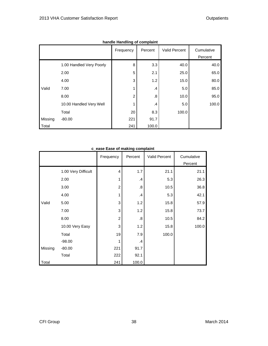|         |                          | <b>Hangle Handling of Complaint</b> |         |               |            |
|---------|--------------------------|-------------------------------------|---------|---------------|------------|
|         |                          | Frequency                           | Percent | Valid Percent | Cumulative |
|         |                          |                                     |         |               | Percent    |
|         | 1.00 Handled Very Poorly | 8                                   | 3.3     | 40.0          | 40.0       |
|         | 2.00                     | 5                                   | 2.1     | 25.0          | 65.0       |
|         | 4.00                     | 3                                   | 1.2     | 15.0          | 80.0       |
| Valid   | 7.00                     | 1                                   | .4      | 5.0           | 85.0       |
|         | 8.00                     | $\overline{c}$                      | .8      | 10.0          | 95.0       |
|         | 10.00 Handled Very Well  |                                     | .4      | 5.0           | 100.0      |
|         | Total                    | 20                                  | 8.3     | 100.0         |            |
| Missing | $-80.00$                 | 221                                 | 91.7    |               |            |
| Total   |                          | 241                                 | 100.0   |               |            |

**handle Handling of complaint**

|  |  |  |  | c_ease Ease of making complaint |  |  |
|--|--|--|--|---------------------------------|--|--|
|--|--|--|--|---------------------------------|--|--|

|         |                     | Frequency               | Percent | Valid Percent | Cumulative |
|---------|---------------------|-------------------------|---------|---------------|------------|
|         |                     |                         |         |               | Percent    |
|         | 1.00 Very Difficult | 4                       | 1.7     | 21.1          | 21.1       |
|         | 2.00                | 1                       | $\cdot$ | 5.3           | 26.3       |
|         | 3.00                | $\overline{c}$          | .8      | 10.5          | 36.8       |
|         | 4.00                | 1                       | $\cdot$ | 5.3           | 42.1       |
| Valid   | 5.00                | 3                       | 1.2     | 15.8          | 57.9       |
|         | 7.00                | 3                       | 1.2     | 15.8          | 73.7       |
|         | 8.00                | $\overline{\mathbf{c}}$ | .8      | 10.5          | 84.2       |
|         | 10.00 Very Easy     | 3                       | 1.2     | 15.8          | 100.0      |
|         | Total               | 19                      | 7.9     | 100.0         |            |
|         | $-98.00$            | 1                       | .4      |               |            |
| Missing | $-80.00$            | 221                     | 91.7    |               |            |
|         | Total               | 222                     | 92.1    |               |            |
| Total   |                     | 241                     | 100.0   |               |            |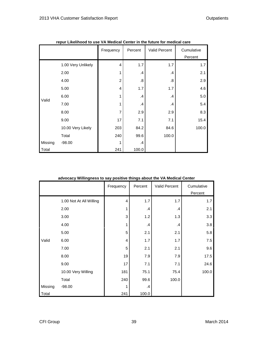|         | repur Likelinood to use vA Medical Center in the future for medical care | Frequency      | Percent           | Valid Percent | Cumulative<br>Percent |
|---------|--------------------------------------------------------------------------|----------------|-------------------|---------------|-----------------------|
|         | 1.00 Very Unlikely                                                       | 4              | 1.7               | 1.7           | 1.7                   |
|         | 2.00                                                                     | 1              | $\mathcal{A}$     | $\cdot$       | 2.1                   |
|         | 4.00                                                                     | $\overline{c}$ | $\boldsymbol{.8}$ | .8            | 2.9                   |
|         | 5.00                                                                     | 4              | 1.7               | 1.7           | 4.6                   |
|         | 6.00                                                                     | 1              | $\cdot$           | $\mathcal{A}$ | 5.0                   |
| Valid   | 7.00                                                                     | 1              | $\cdot$           | .4            | 5.4                   |
|         | 8.00                                                                     | $\overline{7}$ | 2.9               | 2.9           | 8.3                   |
|         | 9.00                                                                     | 17             | 7.1               | 7.1           | 15.4                  |
|         | 10.00 Very Likely                                                        | 203            | 84.2              | 84.6          | 100.0                 |
|         | Total                                                                    | 240            | 99.6              | 100.0         |                       |
| Missing | $-98.00$                                                                 | 1              | $\mathcal{A}$     |               |                       |
| Total   |                                                                          | 241            | 100.0             |               |                       |

**repur Likelihood to use VA Medical Center in the future for medical care**

|  | advocacy Willingness to say positive things about the VA Medical Center |
|--|-------------------------------------------------------------------------|

|         |                         | Frequency      | Percent       | Valid Percent | Cumulative |
|---------|-------------------------|----------------|---------------|---------------|------------|
|         |                         |                |               |               | Percent    |
|         | 1.00 Not At All Willing | $\overline{4}$ | 1.7           | 1.7           | 1.7        |
|         | 2.00                    | 1              | $\mathbf{.4}$ | $\mathcal{A}$ | 2.1        |
|         | 3.00                    | 3              | 1.2           | 1.3           | 3.3        |
|         | 4.00                    | 1              | $\mathbf{.4}$ | $\mathcal{A}$ | 3.8        |
|         | 5.00                    | 5              | 2.1           | 2.1           | 5.8        |
| Valid   | 6.00                    | 4              | 1.7           | 1.7           | 7.5        |
|         | 7.00                    | 5              | 2.1           | 2.1           | 9.6        |
|         | 8.00                    | 19             | 7.9           | 7.9           | 17.5       |
|         | 9.00                    | 17             | 7.1           | 7.1           | 24.6       |
|         | 10.00 Very Willing      | 181            | 75.1          | 75.4          | 100.0      |
|         | Total                   | 240            | 99.6          | 100.0         |            |
| Missing | $-98.00$                | 1              | .4            |               |            |
| Total   |                         | 241            | 100.0         |               |            |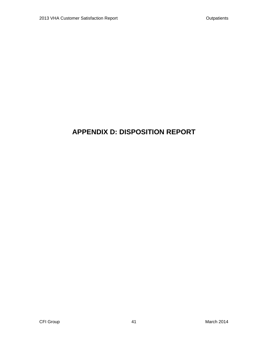# **APPENDIX D: DISPOSITION REPORT**